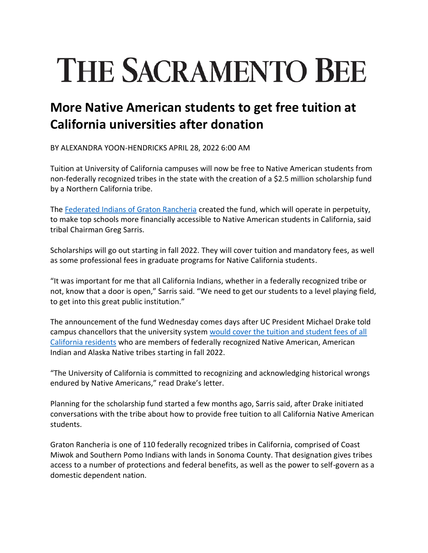## **THE SACRAMENTO BEE**

## **More Native American students to get free tuition at California universities after donation**

BY ALEXANDRA YOON-HENDRICKS APRIL 28, 2022 6:00 AM

Tuition at University of California campuses will now be free to Native American students from non-federally recognized tribes in the state with the creation of a \$2.5 million scholarship fund by a Northern California tribe.

The [Federated Indians of Graton Rancheria](https://gratonrancheria.com/) created the fund, which will operate in perpetuity, to make top schools more financially accessible to Native American students in California, said tribal Chairman Greg Sarris.

Scholarships will go out starting in fall 2022. They will cover tuition and mandatory fees, as well as some professional fees in graduate programs for Native California students.

"It was important for me that all California Indians, whether in a federally recognized tribe or not, know that a door is open," Sarris said. "We need to get our students to a level playing field, to get into this great public institution."

The announcement of the fund Wednesday comes days after UC President Michael Drake told campus chancellors that the university system [would cover the tuition and student fees of all](https://www.sacbee.com/news/local/education/article260753592.html)  [California residents](https://www.sacbee.com/news/local/education/article260753592.html) who are members of federally recognized Native American, American Indian and Alaska Native tribes starting in fall 2022.

"The University of California is committed to recognizing and acknowledging historical wrongs endured by Native Americans," read Drake's letter.

Planning for the scholarship fund started a few months ago, Sarris said, after Drake initiated conversations with the tribe about how to provide free tuition to all California Native American students.

Graton Rancheria is one of 110 federally recognized tribes in California, comprised of Coast Miwok and Southern Pomo Indians with lands in Sonoma County. That designation gives tribes access to a number of protections and federal benefits, as well as the power to self-govern as a domestic dependent nation.